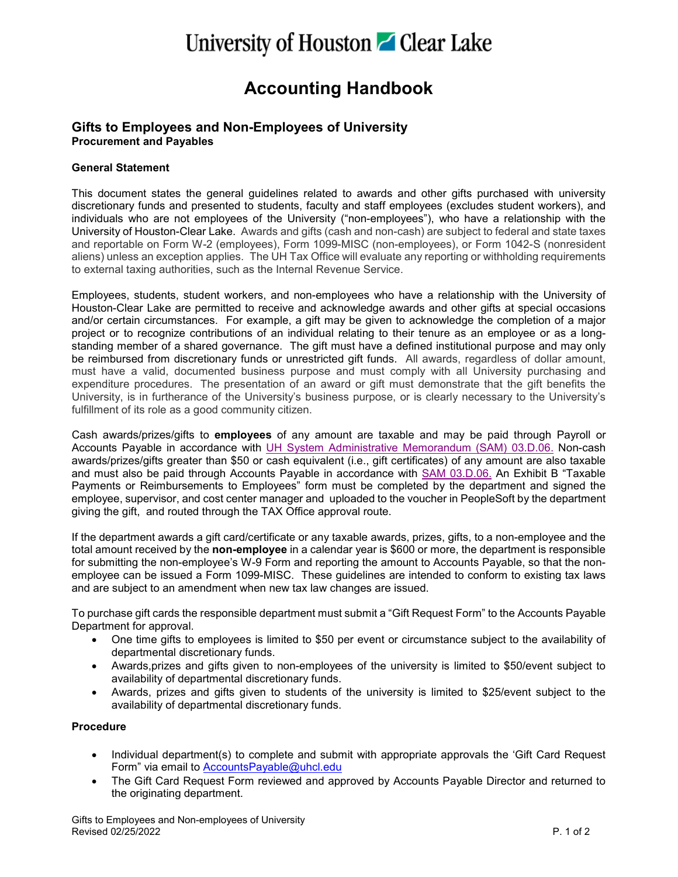# University of Houston **C** Clear Lake

## **Accounting Handbook**

### **Gifts to Employees and Non-Employees of University Procurement and Payables**

### **General Statement**

This document states the general guidelines related to awards and other gifts purchased with university discretionary funds and presented to students, faculty and staff employees (excludes student workers), and individuals who are not employees of the University ("non-employees"), who have a relationship with the University of Houston-Clear Lake. Awards and gifts (cash and non-cash) are subject to federal and state taxes and reportable on Form W-2 (employees), Form 1099-MISC (non-employees), or Form 1042-S (nonresident aliens) unless an exception applies. The UH Tax Office will evaluate any reporting or withholding requirements to external taxing authorities, such as the Internal Revenue Service.

Employees, students, student workers, and non-employees who have a relationship with the University of Houston-Clear Lake are permitted to receive and acknowledge awards and other gifts at special occasions and/or certain circumstances. For example, a gift may be given to acknowledge the completion of a major project or to recognize contributions of an individual relating to their tenure as an employee or as a longstanding member of a shared governance. The gift must have a defined institutional purpose and may only be reimbursed from discretionary funds or unrestricted gift funds. All awards, regardless of dollar amount, must have a valid, documented business purpose and must comply with all University purchasing and expenditure procedures. The presentation of an award or gift must demonstrate that the gift benefits the University, is in furtherance of the University's business purpose, or is clearly necessary to the University's fulfillment of its role as a good community citizen.

Cash awards/prizes/gifts to **employees** of any amount are taxable and may be paid through Payroll or Accounts Payable in accordance with [UH System Administrative Memorandum \(SAM\) 03.D.06.](http://www.uhsystem.edu/compliance-ethics/_docs/sam/03/3d6.pdf) Non-cash awards/prizes/gifts greater than \$50 or cash equivalent (i.e., gift certificates) of any amount are also taxable and must also be paid through Accounts Payable in accordance with [SAM 03.D.06.](http://www.uhsystem.edu/compliance-ethics/_docs/sam/03/3d6.pdf) An Exhibit B "Taxable Payments or Reimbursements to Employees" form must be completed by the department and signed the employee, supervisor, and cost center manager and uploaded to the voucher in PeopleSoft by the department giving the gift, and routed through the TAX Office approval route.

If the department awards a gift card/certificate or any taxable awards, prizes, gifts, to a non-employee and the total amount received by the **non-employee** in a calendar year is \$600 or more, the department is responsible for submitting the non-employee's W-9 Form and reporting the amount to Accounts Payable, so that the nonemployee can be issued a Form 1099-MISC. These guidelines are intended to conform to existing tax laws and are subject to an amendment when new tax law changes are issued.

To purchase gift cards the responsible department must submit a "Gift Request Form" to the Accounts Payable Department for approval.

- One time gifts to employees is limited to \$50 per event or circumstance subject to the availability of departmental discretionary funds.
- Awards,prizes and gifts given to non-employees of the university is limited to \$50/event subject to availability of departmental discretionary funds.
- Awards, prizes and gifts given to students of the university is limited to \$25/event subject to the availability of departmental discretionary funds.

#### **Procedure**

- Individual department(s) to complete and submit with appropriate approvals the 'Gift Card Request Form" via email to [AccountsPayable@uhcl.edu](mailto:AccountsPayable@uhcl.edu)
- The Gift Card Request Form reviewed and approved by Accounts Payable Director and returned to the originating department.